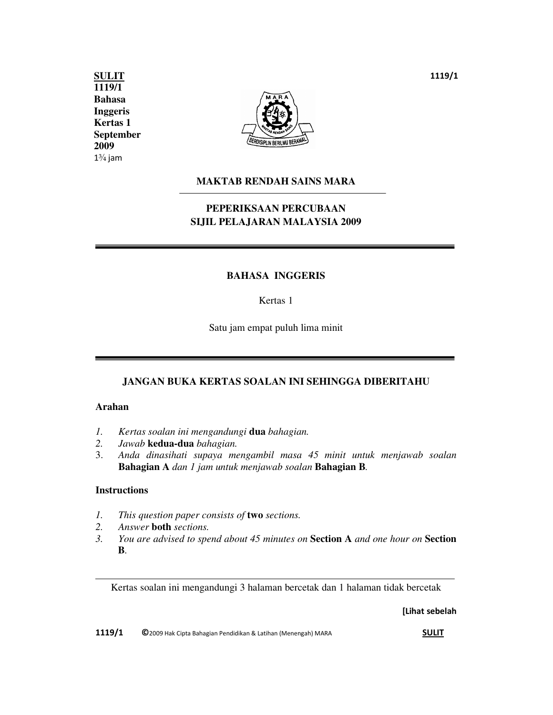**Kertas 1 September SULIT 1119/1 Bahasa Inggeris 2009**   $1\frac{3}{4}$  jam



### **MAKTAB RENDAH SAINS MARA**

## **PEPERIKSAAN PERCUBAAN SIJIL PELAJARAN MALAYSIA 2009**

#### **BAHASA INGGERIS**

Kertas 1

Satu jam empat puluh lima minit

#### **JANGAN BUKA KERTAS SOALAN INI SEHINGGA DIBERITAHU**

#### **Arahan**

- *1. Kertas soalan ini mengandungi* **dua** *bahagian.*
- *2. Jawab* **kedua-dua** *bahagian.*
- 3. *Anda dinasihati supaya mengambil masa 45 minit untuk menjawab soalan*  **Bahagian A** *dan 1 jam untuk menjawab soalan* **Bahagian B***.*

#### **Instructions**

 $\overline{a}$ 

- *1. This question paper consists of* **two** *sections.*
- *2. Answer* **both** *sections.*
- *3. You are advised to spend about 45 minutes on* **Section A** *and one hour on* **Section B***.*

Kertas soalan ini mengandungi 3 halaman bercetak dan 1 halaman tidak bercetak

**[Lihat sebelah** 

**1119/1 ©**2009 Hak Cipta Bahagian Pendidikan & Latihan (Menengah) MARA **SULIT**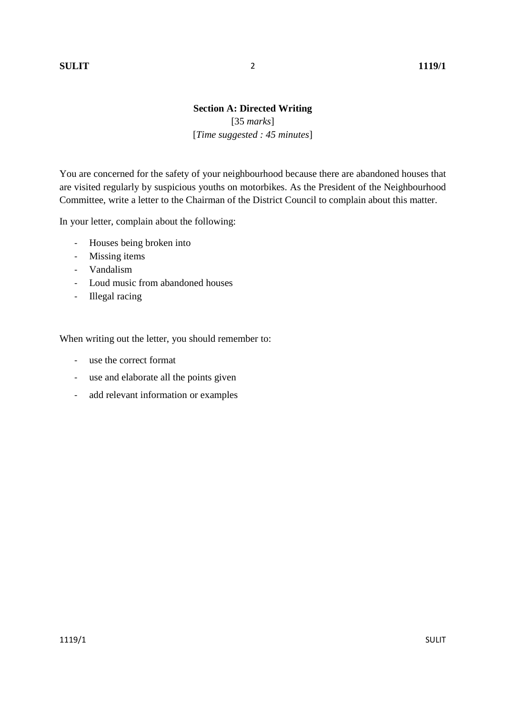## **Section A: Directed Writing**  [35 *marks*] [*Time suggested : 45 minutes*]

You are concerned for the safety of your neighbourhood because there are abandoned houses that are visited regularly by suspicious youths on motorbikes. As the President of the Neighbourhood Committee, write a letter to the Chairman of the District Council to complain about this matter.

In your letter, complain about the following:

- Houses being broken into
- Missing items
- Vandalism
- Loud music from abandoned houses
- Illegal racing

When writing out the letter, you should remember to:

- use the correct format
- use and elaborate all the points given
- add relevant information or examples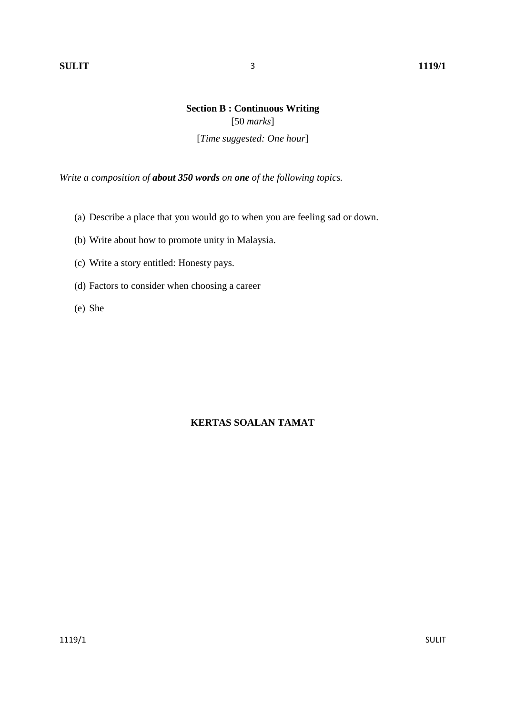## **Section B : Continuous Writing**  [50 *marks*]

[*Time suggested: One hour*]

*Write a composition of about 350 words on one of the following topics.* 

- (a) Describe a place that you would go to when you are feeling sad or down.
- (b) Write about how to promote unity in Malaysia.
- (c) Write a story entitled: Honesty pays.
- (d) Factors to consider when choosing a career
- (e) She

## **KERTAS SOALAN TAMAT**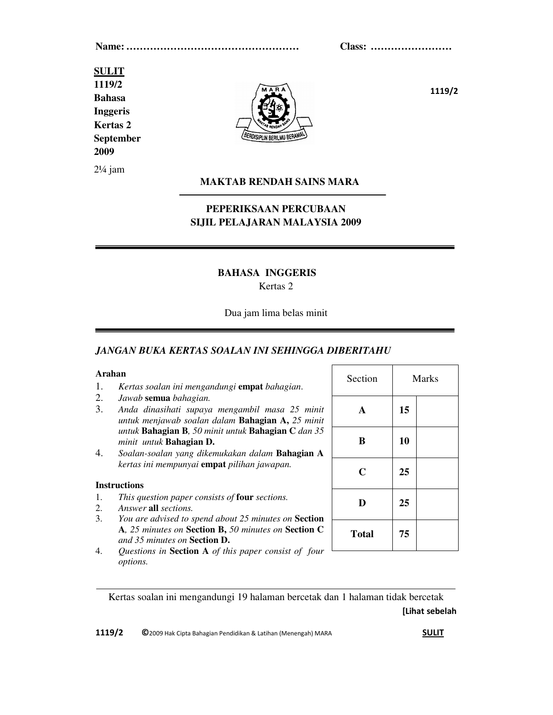**Name: …………………………………………… Class: ……………………**

# **SULIT 1119/2**

**Bahasa Inggeris Kertas 2 September 2009** 

2¼ jam



**1119/2** 

#### **MAKTAB RENDAH SAINS MARA**

## **PEPERIKSAAN PERCUBAAN SIJIL PELAJARAN MALAYSIA 2009**

#### **BAHASA INGGERIS**

#### Kertas 2

#### Dua jam lima belas minit

#### *JANGAN BUKA KERTAS SOALAN INI SEHINGGA DIBERITAHU*

#### **Arahan**

- 1. *Kertas soalan ini mengandungi* **empat** *bahagian*.
- 2. *Jawab* **semua** *bahagian.*
- 3. *Anda dinasihati supaya mengambil masa 25 minit untuk menjawab soalan dalam* **Bahagian A,** *25 minit untuk* **Bahagian B***, 50 minit untuk* **Bahagian C** *dan 35 minit untuk* **Bahagian D.**
- 4. *Soalan-soalan yang dikemukakan dalam* **Bahagian A** *kertas ini mempunyai* **empat** *pilihan jawapan.*

#### **Instructions**

- 1. *This question paper consists of* **four** *sections.*
- 2. *Answer* **all** *sections.*
- 3. *You are advised to spend about 25 minutes on* **Section A***, 25 minutes on* **Section B,** *50 minutes on* **Section C**  *and 35 minutes on* **Section D.**
- 4. *Questions in* **Section A** *of this paper consist of four options.*

| Section      | <b>Marks</b> |  |  |
|--------------|--------------|--|--|
| $\mathbf A$  | 15           |  |  |
| B            | 10           |  |  |
| $\mathbf C$  | 25           |  |  |
| D            | 25           |  |  |
| <b>Total</b> | 75           |  |  |

**[Lihat sebelah**  Kertas soalan ini mengandungi 19 halaman bercetak dan 1 halaman tidak bercetak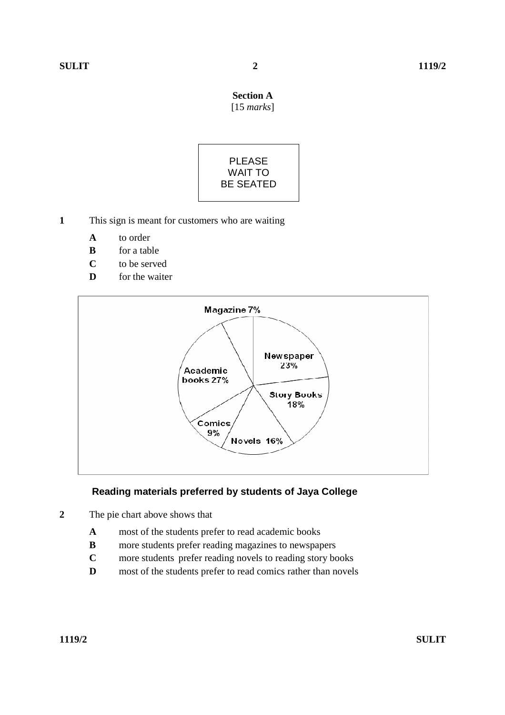## **Section A**  [15 *marks*]



- **1** This sign is meant for customers who are waiting
	- **A** to order
	- **B** for a table
	- **C** to be served
	- **D** for the waiter



## **Reading materials preferred by students of Jaya College**

- **2** The pie chart above shows that
	- **A** most of the students prefer to read academic books
	- **B** more students prefer reading magazines to newspapers
	- **C** more students prefer reading novels to reading story books
	- **D** most of the students prefer to read comics rather than novels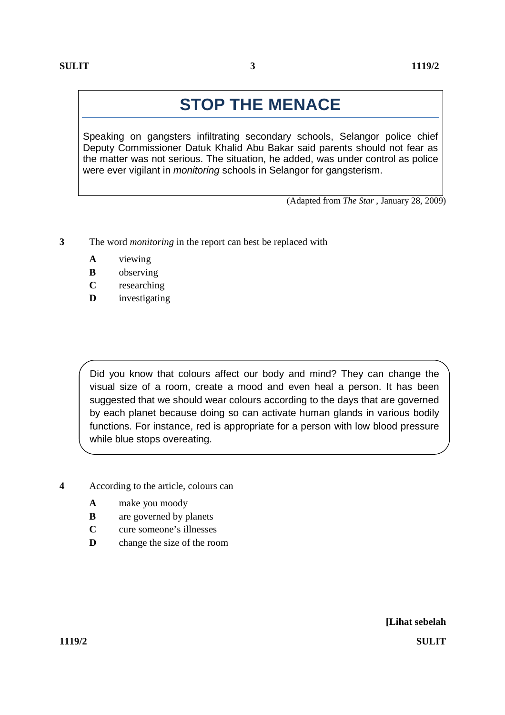Speaking on gangsters infiltrating secondary schools, Selangor police chief Deputy Commissioner Datuk Khalid Abu Bakar said parents should not fear as the matter was not serious. The situation, he added, was under control as police were ever vigilant in *monitoring* schools in Selangor for gangsterism.

(Adapted from *The Star* , January 28, 2009)

- **3** The word *monitoring* in the report can best be replaced with
	- **A** viewing
	- **B** observing
	- **C** researching
	- **D** investigating

Did you know that colours affect our body and mind? They can change the visual size of a room, create a mood and even heal a person. It has been suggested that we should wear colours according to the days that are governed by each planet because doing so can activate human glands in various bodily functions. For instance, red is appropriate for a person with low blood pressure while blue stops overeating.

- **4** According to the article, colours can
	- **A** make you moody
	- **B** are governed by planets
	- **C** cure someone's illnesses
	- **D** change the size of the room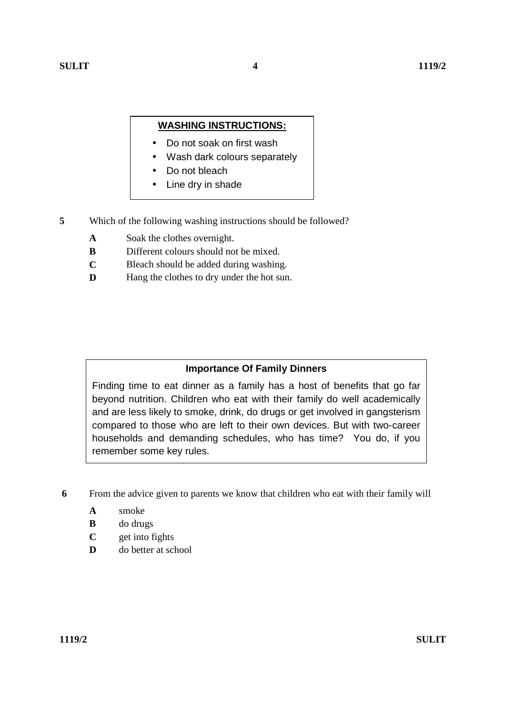## **WASHING INSTRUCTIONS:**

- Do not soak on first wash
- Wash dark colours separately
- Do not bleach
- Line dry in shade
- **5** Which of the following washing instructions should be followed?
	- **A**  Soak the clothes overnight.
	- **B**  Different colours should not be mixed.
	- **C**  Bleach should be added during washing.
	- **D** Hang the clothes to dry under the hot sun.

## **Importance Of Family Dinners**

Finding time to eat dinner as a family has a host of benefits that go far beyond nutrition. Children who eat with their family do well academically and are less likely to smoke, drink, do drugs or get involved in gangsterism compared to those who are left to their own devices. But with two-career households and demanding schedules, who has time? You do, if you remember some key rules.

- **6** From the advice given to parents we know that children who eat with their family will
	- **A** smoke
	- **B** do drugs
	- **C** get into fights
	- **D** do better at school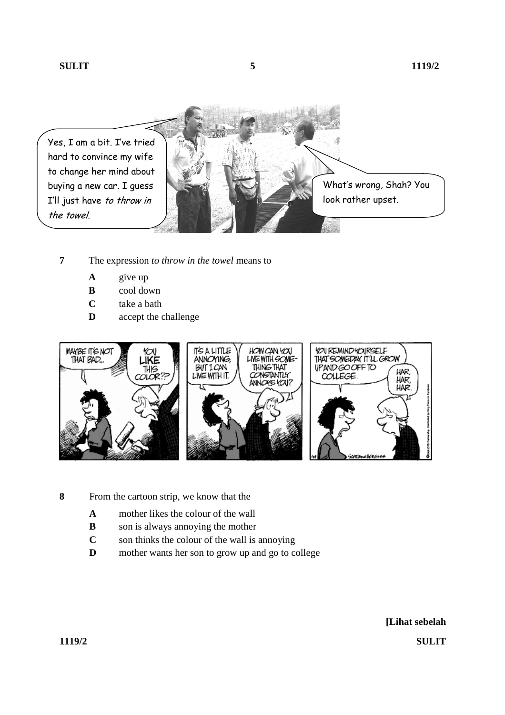

- **7** The expression *to throw in the towel* means to
	- **A** give up
	- **B** cool down
	- **C** take a bath
	- **D** accept the challenge



- **8** From the cartoon strip, we know that the
	- **A** mother likes the colour of the wall
	- **B** son is always annoying the mother
	- **C** son thinks the colour of the wall is annoying
	- **D** mother wants her son to grow up and go to college

**[Lihat sebelah 1119/2 SULIT**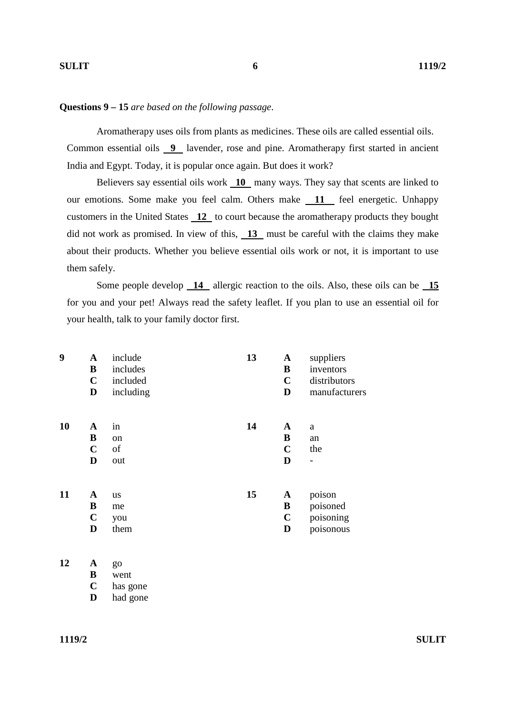#### **Questions 9 – 15** *are based on the following passage*.

Aromatherapy uses oils from plants as medicines. These oils are called essential oils. Common essential oils **9** lavender, rose and pine. Aromatherapy first started in ancient India and Egypt. Today, it is popular once again. But does it work?

Believers say essential oils work **10** many ways. They say that scents are linked to our emotions. Some make you feel calm. Others make **11** feel energetic. Unhappy customers in the United States **12** to court because the aromatherapy products they bought did not work as promised. In view of this, 13 must be careful with the claims they make about their products. Whether you believe essential oils work or not, it is important to use them safely.

Some people develop **14** allergic reaction to the oils. Also, these oils can be **15**  for you and your pet! Always read the safety leaflet. If you plan to use an essential oil for your health, talk to your family doctor first.

| 9         | $\mathbf A$ | include   | 13 | $\mathbf A$  | suppliers      |
|-----------|-------------|-----------|----|--------------|----------------|
|           | B           | includes  |    | B            | inventors      |
|           | $\mathbf C$ | included  |    | $\mathbf C$  | distributors   |
|           | D           | including |    | D            | manufacturers  |
| <b>10</b> | A           | in        | 14 | A            | a              |
|           | B           | on        |    | B            | an             |
|           | $\mathbf C$ | of        |    | $\mathbf C$  | the            |
|           | D           | out       |    | D            | $\overline{a}$ |
| 11        | A           | <b>us</b> | 15 | $\mathbf{A}$ | poison         |
|           | B           | me        |    | B            | poisoned       |
|           | $\mathbf C$ | you       |    | $\mathbf C$  | poisoning      |
|           | D           | them      |    | D            | poisonous      |
|           |             |           |    |              |                |

**<sup>12</sup> A** go

 **B** went

 **C** has gone

 **D** had gone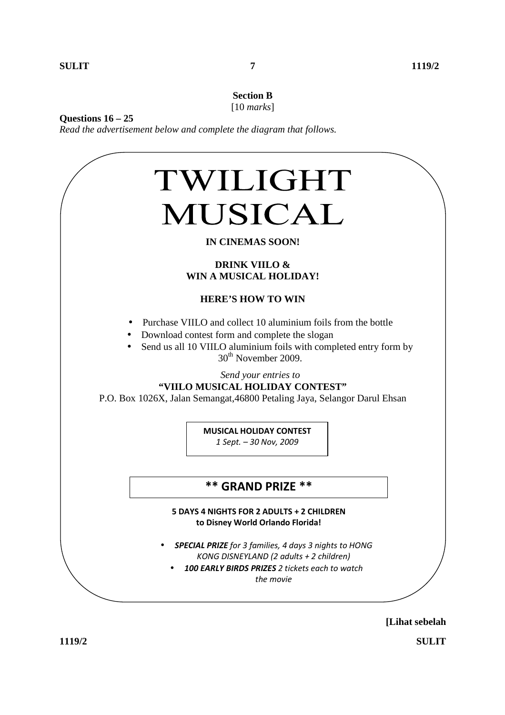#### **Section B**  [10 *marks*]

**Questions 16 – 25** 

*Read the advertisement below and complete the diagram that follows.* 



## **IN CINEMAS SOON!**

#### **DRINK VIILO & WIN A MUSICAL HOLIDAY!**

#### **HERE'S HOW TO WIN**

- Purchase VIILO and collect 10 aluminium foils from the bottle
- Download contest form and complete the slogan
- Send us all 10 VIILO aluminium foils with completed entry form by 30<sup>th</sup> November 2009.

*Send your entries to* 

#### **"VIILO MUSICAL HOLIDAY CONTEST"**

P.O. Box 1026X, Jalan Semangat,46800 Petaling Jaya, Selangor Darul Ehsan

**MUSICAL HOLIDAY CONTEST**

*1 Sept. – 30 Nov, 2009* 

## **\*\* GRAND PRIZE \*\***

#### **5 DAYS 4 NIGHTS FOR 2 ADULTS + 2 CHILDREN to Disney World Orlando Florida!**

- *SPECIAL PRIZE for 3 families, 4 days 3 nights to HONG KONG DISNEYLAND (2 adults + 2 children)* 
	- *100 EARLY BIRDS PRIZES 2 tickets each to watch the movie*

**[Lihat sebelah** 

**1119/2 SULIT**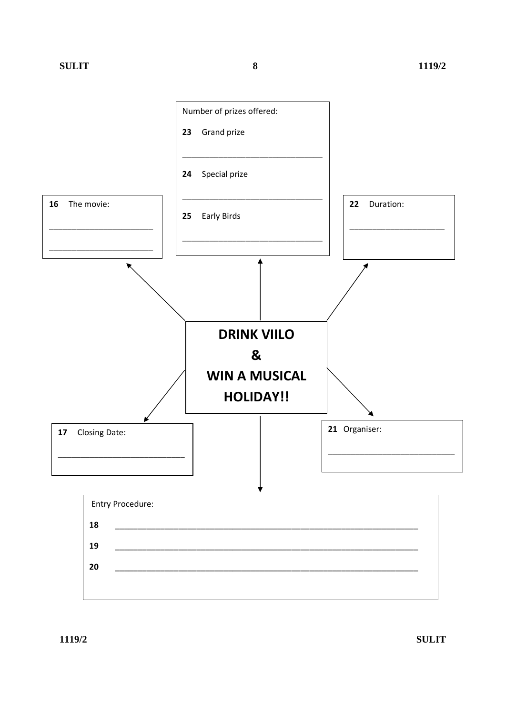

1119/2

**SULIT**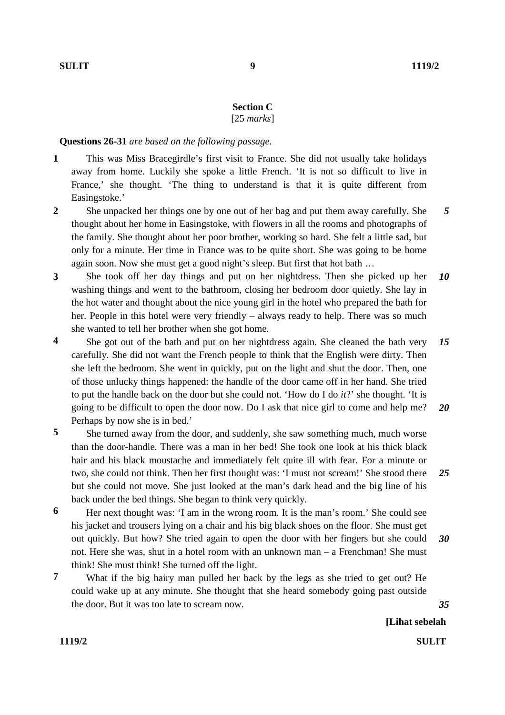## **Section C**

[25 *marks*]

#### **Questions 26-31** *are based on the following passage.*

- **1**  This was Miss Bracegirdle's first visit to France. She did not usually take holidays away from home. Luckily she spoke a little French. 'It is not so difficult to live in France,' she thought. 'The thing to understand is that it is quite different from Easingstoke.'
- **2**  She unpacked her things one by one out of her bag and put them away carefully. She thought about her home in Easingstoke, with flowers in all the rooms and photographs of the family. She thought about her poor brother, working so hard. She felt a little sad, but only for a minute. Her time in France was to be quite short. She was going to be home again soon. Now she must get a good night's sleep. But first that hot bath … *5*
- **3**  She took off her day things and put on her nightdress. Then she picked up her washing things and went to the bathroom, closing her bedroom door quietly. She lay in the hot water and thought about the nice young girl in the hotel who prepared the bath for her. People in this hotel were very friendly – always ready to help. There was so much she wanted to tell her brother when she got home. *10*
- **4**  She got out of the bath and put on her nightdress again. She cleaned the bath very carefully. She did not want the French people to think that the English were dirty. Then she left the bedroom. She went in quickly, put on the light and shut the door. Then, one of those unlucky things happened: the handle of the door came off in her hand. She tried to put the handle back on the door but she could not. 'How do I do *it*?' she thought. 'It is going to be difficult to open the door now. Do I ask that nice girl to come and help me? Perhaps by now she is in bed.' *15 20*
- **5**  She turned away from the door, and suddenly, she saw something much, much worse than the door-handle. There was a man in her bed! She took one look at his thick black hair and his black moustache and immediately felt quite ill with fear. For a minute or two, she could not think. Then her first thought was: 'I must not scream!' She stood there but she could not move. She just looked at the man's dark head and the big line of his back under the bed things. She began to think very quickly. *25*
- **6**  Her next thought was: 'I am in the wrong room. It is the man's room.' She could see his jacket and trousers lying on a chair and his big black shoes on the floor. She must get out quickly. But how? She tried again to open the door with her fingers but she could not. Here she was, shut in a hotel room with an unknown man – a Frenchman! She must think! She must think! She turned off the light. *30*
- **7**  What if the big hairy man pulled her back by the legs as she tried to get out? He could wake up at any minute. She thought that she heard somebody going past outside the door. But it was too late to scream now.

*35*

**[Lihat sebelah** 

**1119/2 SULIT**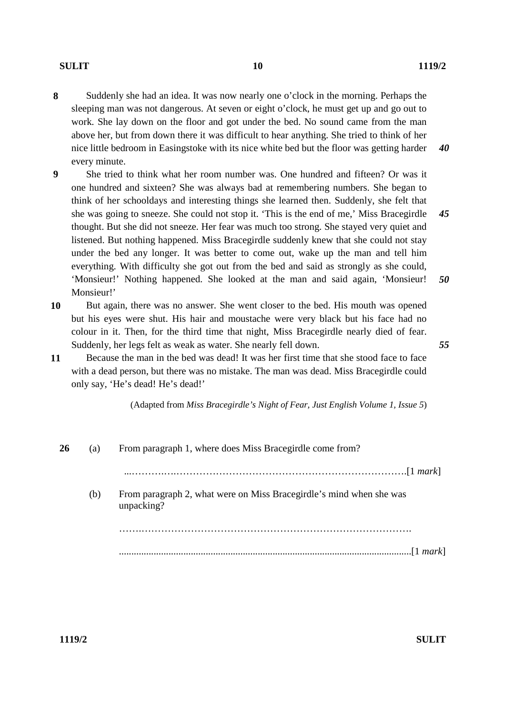- **8**  Suddenly she had an idea. It was now nearly one o'clock in the morning. Perhaps the sleeping man was not dangerous. At seven or eight o'clock, he must get up and go out to work. She lay down on the floor and got under the bed. No sound came from the man above her, but from down there it was difficult to hear anything. She tried to think of her nice little bedroom in Easingstoke with its nice white bed but the floor was getting harder every minute. *40*
- **9**  She tried to think what her room number was. One hundred and fifteen? Or was it one hundred and sixteen? She was always bad at remembering numbers. She began to think of her schooldays and interesting things she learned then. Suddenly, she felt that she was going to sneeze. She could not stop it. 'This is the end of me,' Miss Bracegirdle thought. But she did not sneeze. Her fear was much too strong. She stayed very quiet and listened. But nothing happened. Miss Bracegirdle suddenly knew that she could not stay under the bed any longer. It was better to come out, wake up the man and tell him everything. With difficulty she got out from the bed and said as strongly as she could, 'Monsieur!' Nothing happened. She looked at the man and said again, 'Monsieur! Monsieur!' *45 50*
- **10**  But again, there was no answer. She went closer to the bed. His mouth was opened but his eyes were shut. His hair and moustache were very black but his face had no colour in it. Then, for the third time that night, Miss Bracegirdle nearly died of fear. Suddenly, her legs felt as weak as water. She nearly fell down.
- **11**  Because the man in the bed was dead! It was her first time that she stood face to face with a dead person, but there was no mistake. The man was dead. Miss Bracegirdle could only say, 'He's dead! He's dead!'

(Adapted from *Miss Bracegirdle's Night of Fear, Just English Volume 1, Issue 5*)

**26** (a) From paragraph 1, where does Miss Bracegirdle come from? ...……….….…………………………………………………………….[1 *mark*] (b) From paragraph 2, what were on Miss Bracegirdle's mind when she was unpacking? …….………………………………………………………………………. ......................................................................................................................[1 *mark*]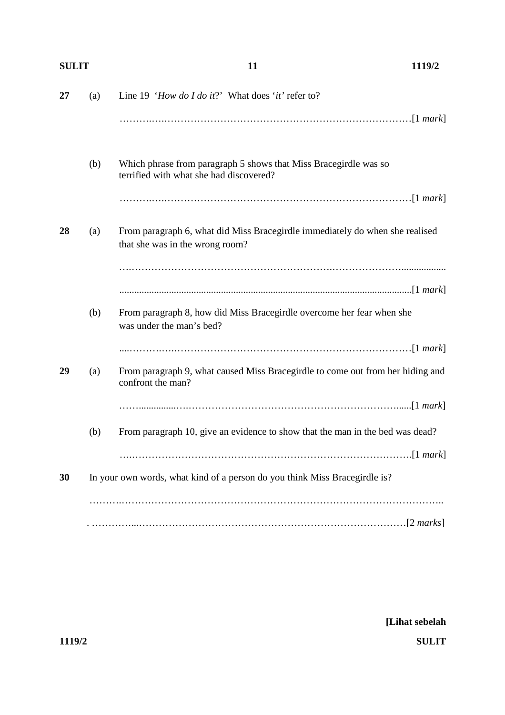| <b>SULIT</b> |     | 11                                                                                                              | 1119/2 |  |
|--------------|-----|-----------------------------------------------------------------------------------------------------------------|--------|--|
| 27           | (a) | Line 19 'How do I do it?' What does 'it' refer to?                                                              |        |  |
|              |     |                                                                                                                 |        |  |
|              | (b) | Which phrase from paragraph 5 shows that Miss Bracegirdle was so<br>terrified with what she had discovered?     |        |  |
|              |     |                                                                                                                 |        |  |
| 28           | (a) | From paragraph 6, what did Miss Bracegirdle immediately do when she realised<br>that she was in the wrong room? |        |  |
|              |     |                                                                                                                 |        |  |
|              |     |                                                                                                                 |        |  |
|              | (b) | From paragraph 8, how did Miss Bracegirdle overcome her fear when she<br>was under the man's bed?               |        |  |
|              |     |                                                                                                                 |        |  |
| 29           | (a) | From paragraph 9, what caused Miss Bracegirdle to come out from her hiding and<br>confront the man?             |        |  |
|              |     |                                                                                                                 |        |  |
|              | (b) | From paragraph 10, give an evidence to show that the man in the bed was dead?                                   |        |  |
|              |     |                                                                                                                 |        |  |
| 30           |     | In your own words, what kind of a person do you think Miss Bracegirdle is?                                      |        |  |
|              |     |                                                                                                                 |        |  |
|              |     |                                                                                                                 |        |  |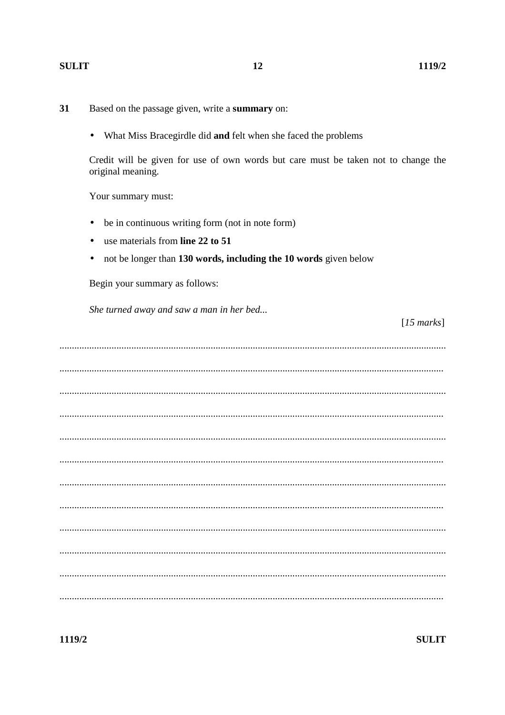#### **SULIT**

- 31 Based on the passage given, write a summary on:
	- What Miss Bracegirdle did and felt when she faced the problems  $\bullet$

Credit will be given for use of own words but care must be taken not to change the original meaning.

Your summary must:

- be in continuous writing form (not in note form)  $\bullet$
- use materials from line 22 to 51
- not be longer than 130 words, including the 10 words given below  $\bullet$

Begin your summary as follows:

She turned away and saw a man in her bed...

 $[15$  marks]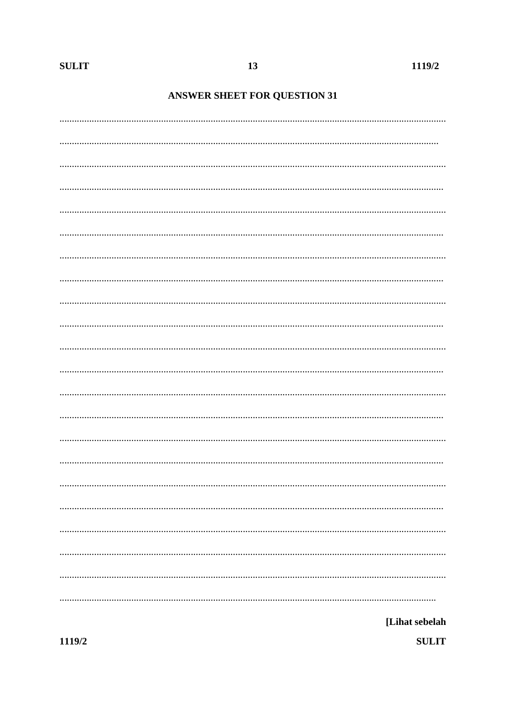# **ANSWER SHEET FOR QUESTION 31**

| [Lihat sebelah |
|----------------|

**SULIT**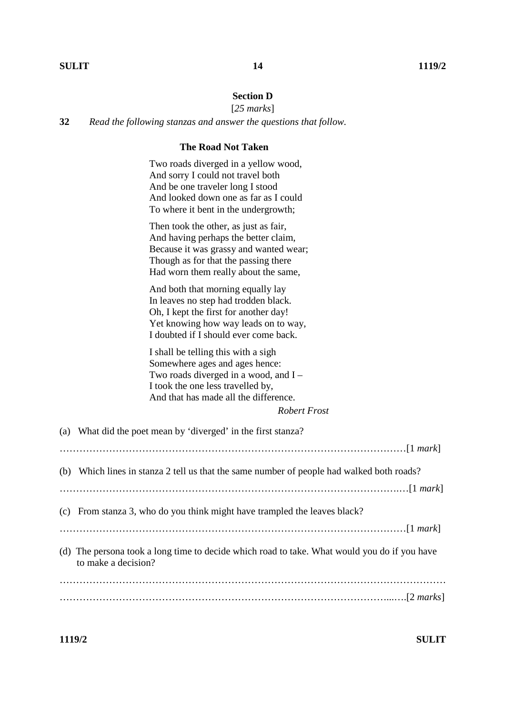## **Section D**

[*25 marks*]

**32** *Read the following stanzas and answer the questions that follow.*

## **The Road Not Taken**

 Two roads diverged in a yellow wood, And sorry I could not travel both And be one traveler long I stood And looked down one as far as I could To where it bent in the undergrowth;

 Then took the other, as just as fair, And having perhaps the better claim, Because it was grassy and wanted wear; Though as for that the passing there Had worn them really about the same,

 And both that morning equally lay In leaves no step had trodden black. Oh, I kept the first for another day! Yet knowing how way leads on to way, I doubted if I should ever come back.

 I shall be telling this with a sigh Somewhere ages and ages hence: Two roads diverged in a wood, and I – I took the one less travelled by, And that has made all the difference.

| <b>Robert Frost</b> |  |
|---------------------|--|
|---------------------|--|

| (a) What did the poet mean by 'diverged' in the first stanza?                                                       |
|---------------------------------------------------------------------------------------------------------------------|
|                                                                                                                     |
| (b) Which lines in stanza 2 tell us that the same number of people had walked both roads?                           |
|                                                                                                                     |
| (c) From stanza 3, who do you think might have trampled the leaves black?                                           |
|                                                                                                                     |
| (d) The persona took a long time to decide which road to take. What would you do if you have<br>to make a decision? |
|                                                                                                                     |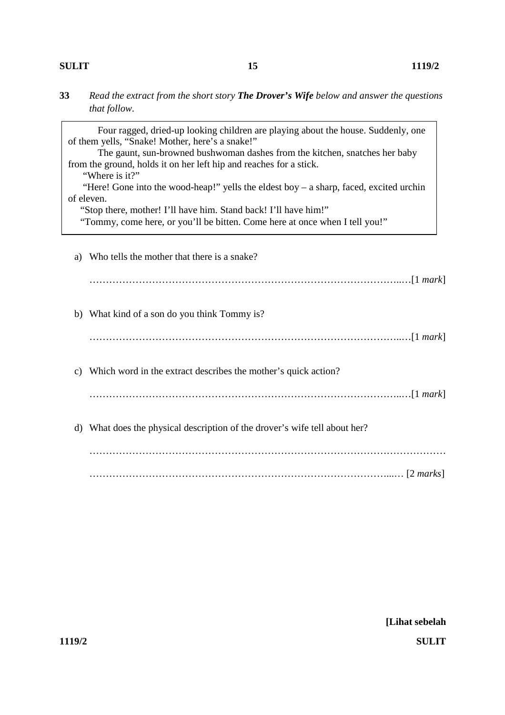### **SULIT 1119/2**

**33** *Read the extract from the short story The Drover's Wife below and answer the questions that follow.* 

Four ragged, dried-up looking children are playing about the house. Suddenly, one of them yells, "Snake! Mother, here's a snake!" The gaunt, sun-browned bushwoman dashes from the kitchen, snatches her baby from the ground, holds it on her left hip and reaches for a stick. "Where is it?" "Here! Gone into the wood-heap!" yells the eldest boy – a sharp, faced, excited urchin of eleven. "Stop there, mother! I'll have him. Stand back! I'll have him!" "Tommy, come here, or you'll be bitten. Come here at once when I tell you!"

|                 | a) Who tells the mother that there is a snake?                             |
|-----------------|----------------------------------------------------------------------------|
|                 |                                                                            |
|                 | b) What kind of a son do you think Tommy is?                               |
|                 |                                                                            |
| $\mathcal{C}$ ) | Which word in the extract describes the mother's quick action?             |
|                 |                                                                            |
|                 | d) What does the physical description of the drover's wife tell about her? |
|                 |                                                                            |
|                 |                                                                            |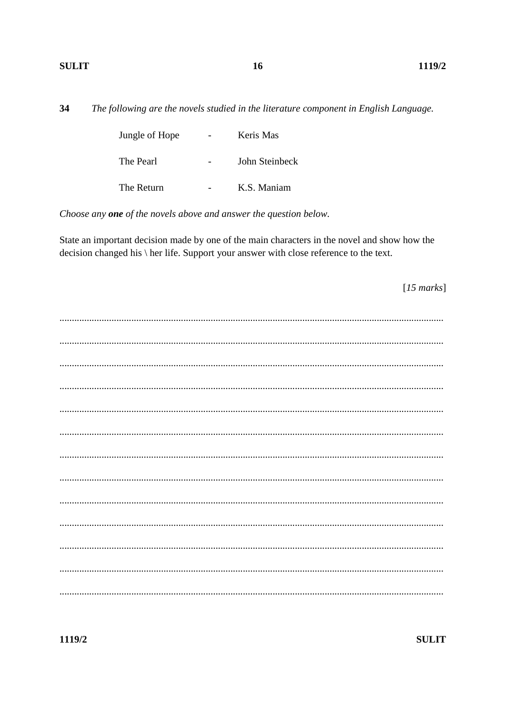#### **SULIT**

34 The following are the novels studied in the literature component in English Language.

| Jungle of Hope | Keris Mas      |
|----------------|----------------|
| The Pearl      | John Steinbeck |
| The Return     | K.S. Maniam    |

Choose any one of the novels above and answer the question below.

State an important decision made by one of the main characters in the novel and show how the decision changed his \ her life. Support your answer with close reference to the text.

 $[15$  marks]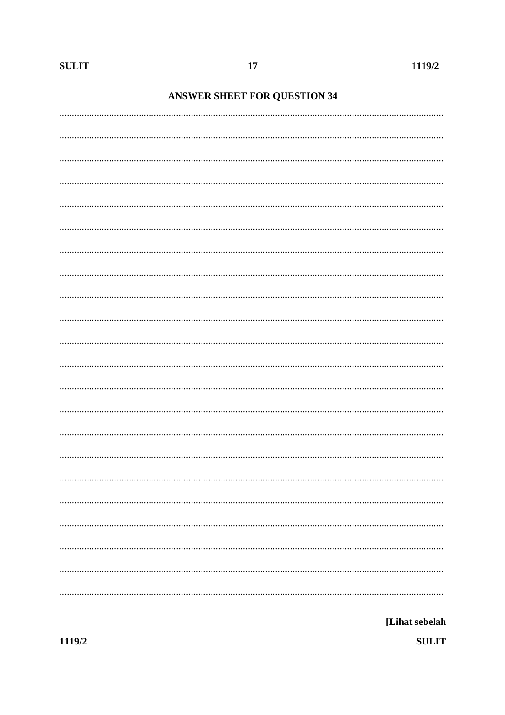# **ANSWER SHEET FOR QUESTION 34**

[Lihat sebelah **SULIT**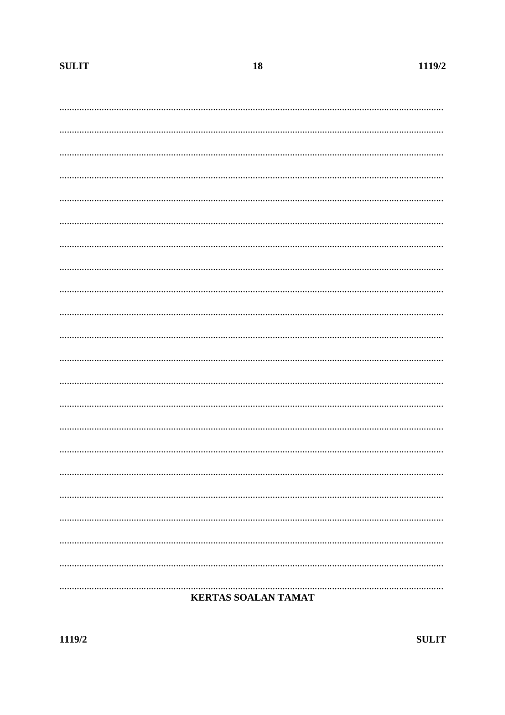| <br><b>KERTAS SOALAN TAMAT</b> |
|--------------------------------|